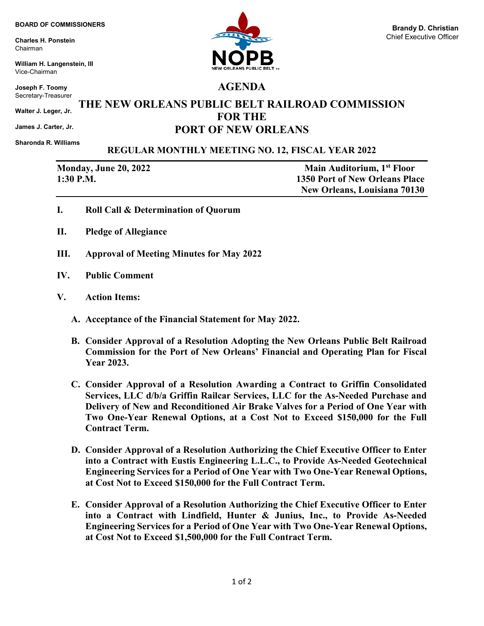**Charles H. Ponstein** Chairman

**William H. Langenstein, III** Vice-Chairman

**Joseph F. Toomy** Secretary-Treasurer

**Walter J. Leger, Jr.**

**James J. Carter, Jr.** 

**Sharonda R. Williams**

## **REGULAR MONTHLY MEETING NO. 12, FISCAL YEAR 2022**

| <b>Monday, June 20, 2022</b> |  |
|------------------------------|--|
| 1:30 P.M.                    |  |

**Main Auditorium, 1st Floor 1350 Port of New Orleans Place New Orleans, Louisiana 70130**

- **I. Roll Call & Determination of Quorum**
- **II. Pledge of Allegiance**
- **III. Approval of Meeting Minutes for May 2022**
- **IV. Public Comment**
- **V. Action Items:**
	- **A. Acceptance of the Financial Statement for May 2022.**
	- **B. Consider Approval of a Resolution Adopting the New Orleans Public Belt Railroad Commission for the Port of New Orleans' Financial and Operating Plan for Fiscal Year 2023.**
	- **C. Consider Approval of a Resolution Awarding a Contract to Griffin Consolidated Services, LLC d/b/a Griffin Railcar Services, LLC for the As-Needed Purchase and Delivery of New and Reconditioned Air Brake Valves for a Period of One Year with Two One-Year Renewal Options, at a Cost Not to Exceed \$150,000 for the Full Contract Term.**
	- **D. Consider Approval of a Resolution Authorizing the Chief Executive Officer to Enter into a Contract with Eustis Engineering L.L.C., to Provide As-Needed Geotechnical Engineering Services for a Period of One Year with Two One-Year Renewal Options, at Cost Not to Exceed \$150,000 for the Full Contract Term.**
	- **E. Consider Approval of a Resolution Authorizing the Chief Executive Officer to Enter into a Contract with Lindfield, Hunter & Junius, Inc., to Provide As-Needed Engineering Services for a Period of One Year with Two One-Year Renewal Options, at Cost Not to Exceed \$1,500,000 for the Full Contract Term.**



**AGENDA**

**THE NEW ORLEANS PUBLIC BELT RAILROAD COMMISSION FOR THE PORT OF NEW ORLEANS**